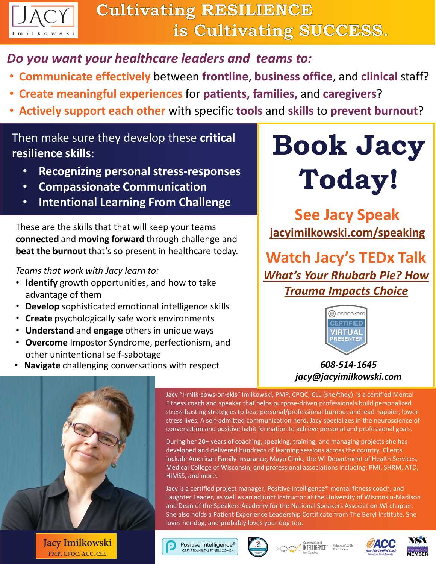

# *Do you want your healthcare leaders and teams to:*

- **Communicate effectively** between **frontline**, **business office**, and **clinical** staff?
- **Create meaningful experiences** for **patients, families,** and **caregivers**?
- **Actively support each other** with specific **tools** and **skills** to **prevent burnout**?

# Then make sure they develop these **critical resilience skills**:

- **Recognizing personal stress-responses**
- **Compassionate Communication**
- **Intentional Learning From Challenge**

These are the skills that that will keep your teams **connected** and **moving forward** through challenge and **beat the burnout** that's so present in healthcare today.

#### *Teams that work with Jacy learn to:*

- **Identify** growth opportunities, and how to take advantage of them
- **Develop** sophisticated emotional intelligence skills
- **Create** psychologically safe work environments
- **Understand** and **engage** others in unique ways
- **Overcome** Impostor Syndrome, perfectionism, and other unintentional self-sabotage
- **Navigate** challenging conversations with respect

# **Book Jacy Today!**

**See Jacy Speak [jacyimilkowski.com/speaking](https://jacyimilkowski.com/)**

**Watch Jacy's TEDx Talk** *[What's Your Rhubarb Pie? How](https://youtu.be/IuBJWSakrNA)  Trauma Impacts Choice*



### *608-514-1645 jacy@jacyimilkowski.com*



**Jacy Imilkowski PMP, CPQC, ACC, CLL**

Jacy "I-milk-cows-on-skis" Imilkowski, PMP, CPQC, CLL (she/they) is a certified Mental Fitness coach and speaker that helps purpose-driven professionals build personalized stress-busting strategies to beat personal/professional burnout and lead happier, lowerstress lives. A self-admitted communication nerd, Jacy specializes in the neuroscience of conversation and positive habit formation to achieve personal and professional goals.

During her 20+ years of coaching, speaking, training, and managing projects she has developed and delivered hundreds of learning sessions across the country. Clients include American Family Insurance, Mayo Clinic, the WI Department of Health Services, Medical College of Wisconsin, and professional associations including: PMI, SHRM, ATD, HIMSS, and more.

Jacy is a certified project manager, Positive Intelligence® mental fitness coach, and Laughter Leader, as well as an adjunct instructor at the University of Wisconsin-Madison and Dean of the Speakers Academy for the National Speakers Association-WI chapter. She also holds a Patient Experience Leadership Certificate from The Beryl Institute. She loves her dog, and probably loves your dog too.

Positive Intelligence® CERTIFIED MENTAL FITNESS COACH



**INTELLIGENCE**<sup>®</sup> | Enhanced Skills